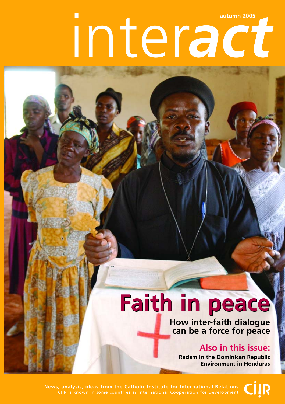# inter*act* **autumn 2005**

# **Faith in peace Faith in peace**

**How inter-faith dialogue can be a force for peace**

### **Also in this issue:**

**Racism in the Dominican Republic Environment in Honduras**

**News, analysis, ideas from the Catholic Institute for International Relations** CIIR is known in some countries as International Cooperation for Development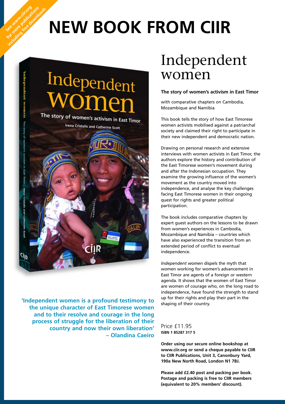## **NEW BOOK FROM CIIR**



See www.cit.org for more publications including free downloads

> **'Independent women is a profound testimony to the unique character of East Timorese women and to their resolve and courage in the long process of struggle for the liberation of their country and now their own liberation' – Olandina Caeiro**

### Independent women

#### **The story of women's activism in East Timor**

with comparative chapters on Cambodia, Mozambique and Namibia

This book tells the story of how East Timorese women activists mobilised against a patriarchal society and claimed their right to participate in their new independent and democratic nation.

Drawing on personal research and extensive interviews with women activists in East Timor, the authors explore the history and contribution of the East Timorese women's movement during and after the Indonesian occupation. They examine the growing influence of the women's movement as the country moved into independence, and analyse the key challenges facing East Timorese women in their ongoing quest for rights and greater political participation.

The book includes comparative chapters by expert guest authors on the lessons to be drawn from women's experiences in Cambodia, Mozambique and Namibia – countries which have also experienced the transition from an extended period of conflict to eventual independence.

*Independent women* dispels the myth that women working for women's advancement in East Timor are agents of a foreign or western agenda. It shows that the women of East Timor are women of courage who, on the long road to independence, have found the strength to stand up for their rights and play their part in the shaping of their country.

Price £11.95 **ISBN 1 85287 317 5**

**Order using our secure online bookshop at www.ciir.org or send a cheque payable to CIIR to CIIR Publications, Unit 3, Canonbury Yard, 190a New North Road, London N1 7BJ.** 

**Please add £2.40 post and packing per book. Postage and packing is free to CIIR members (equivalent to 20% members' discount).**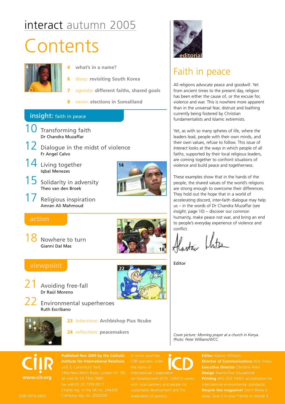### interact autumn 2005

## **Contents**



- **4 what's in a name?**
- **6 diary: revisiting South Korea**
- **7 agenda: different faiths, shared goals**
- **8 news: elections in Somaliland**

#### **insight:** faith in peace

10 Transforming faith Dr Chandra Muzaffar  $12\,$  Dialogue in the midst of violence Fr Angel Calvo 14 Living together Iqbal Menezes  $15$  Solidarity in adversity Theo van den Broek Religious inspiration Amran Ali Mahmoud **action** Nowhere to turn Gianni Dal Mas **viewpoint** Avoiding free-fall Dr Raúl Moreno  $22$  Environmental superheroes Ruth Escribano **22 23 interview: Archbishop Pius Ncube 24 reflection: peacemakers 23 14**



### Faith in peace

All religions advocate peace and goodwill. Yet from ancient times to the present day, religion has been either the cause of, or the excuse for, violence and war. This is nowhere more apparent than in the universal fear, distrust and loathing currently being fostered by Christian fundamentalists and Islamic extremists.

Yet, as with so many spheres of life, where the leaders lead, people with their own minds, and their own values, refuse to follow. This issue of *Interact* looks at the ways in which people of all faiths, supported by their local religious leaders, are coming together to confront situations of violence and build peace and togetherness.

These examples show that in the hands of the people, the shared values of the world's religions are strong enough to overcome their differences. They hold out the hope that in a world of accelerating discord, inter-faith dialogue may help us – in the words of Dr Chandra Muzaffar (see *insight*, page 10) – discover our common humanity, make peace not war, and bring an end to people's everyday experience of violence and conflict.

Alastai Khitsa

Editor

**18**

*Cover picture: Morning prayer at a church in Kenya. Photo: Peter Williams/WCC.*

**www.ciir.org**

**Published Nov 2005 by the Catholic Institute for International Relations** fax +44 (0) 20 7359 0017

In some countries, CIIR operates under the name of

for Development (ICD). CIIR/ICD works with local partners and people for

**Editor** Alastair Whitson **Director of Communications** Nick Sireau **Executive Director** Christine Allen **Design** Twenty-Five Educational **Printing** APG (ISO 14001 accreditation for **Recycle this magazine!** Don't throw it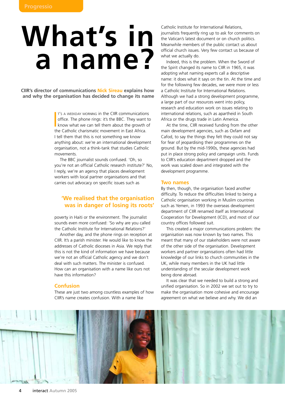# **What's in a name?**

**CIIR's director of communications Nick Sireau explains how and why the organisation has decided to change its name**

> I'S A WEEKDAY MORNING in the CIIR communication:<br>
> office. The phone rings: it's the BBC. They want<br>
> know what we can tell them about the growth c<br>
> the Catholic charismatic movement in East Africa. T'S A WEEKDAY MORNING in the CIIR communications office. The phone rings: it's the BBC. They want to know what we can tell them about the growth of I tell them that this is not something we know anything about: we're an international development organisation, not a think-tank that studies Catholic movements.

The BBC journalist sounds confused. 'Oh, so you're not an official Catholic research institute?' No, I reply, we're an agency that places development workers with local partner organisations and that carries out advocacy on specific issues such as

#### **'We realised that the organisation was in danger of losing its roots'**

poverty in Haiti or the environment. The journalist sounds even more confused: 'So why are you called the Catholic Institute for International Relations?'

Another day, and the phone rings on reception at CIIR. It's a parish minister. He would like to know the addresses of Catholic dioceses in Asia. We reply that this is not the kind of information we have because we're not an official Catholic agency and we don't deal with such matters. The minister is confused. How can an organisation with a name like ours not have this information?

#### **Confusion**

These are just two among countless examples of how CIIR's name creates confusion. With a name like

Catholic Institute for International Relations, journalists frequently ring up to ask for comments on the Vatican's latest document or on church politics. Meanwhile members of the public contact us about official church issues. Very few contact us because of what we actually do.

Indeed, this is the problem. When the Sword of the Spirit changed its name to CIIR in 1965, it was adopting what naming experts call a descriptive name: it does what it says on the tin. At the time and for the following few decades, we were more or less a Catholic Institute for International Relations. Although we had a strong development programme, a large part of our resources went into policy, research and education work on issues relating to international relations, such as apartheid in South Africa or the drugs trade in Latin America.

At the time, CIIR received funding from the other main development agencies, such as Oxfam and Cafod, to say the things they felt they could not say for fear of jeopardising their programmes on the ground. But by the mid-1990s, these agencies had put in place strong policy and campaign units. Funds to CIIR's education department dropped and the work was scaled down and integrated with the development programme.

#### **Two names**

By then, though, the organisation faced another difficulty. To reduce the difficulties linked to being a Catholic organisation working in Muslim countries such as Yemen, in 1993 the overseas development department of CIIR renamed itself as International Cooperation for Development (ICD), and most of our country offices followed suit.

This created a major communications problem: the organisation was now known by two names. This meant that many of our stakeholders were not aware of the other side of the organisation. Development workers and partner organisations often had little knowledge of our links to church communities in the UK, while many members in the UK had little understanding of the secular development work being done abroad.

It was clear that we needed to build a strong and unified organisation. So in 2002 we set out to try to make the organisation more cohesive and encourage agreement on what we believe and why. We did an

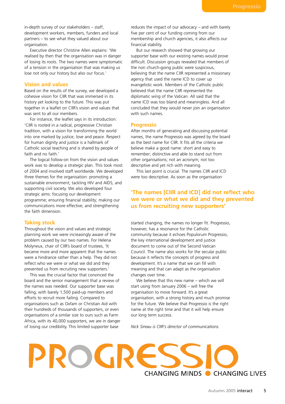in-depth survey of our stakeholders – staff, development workers, members, funders and local partners – to see what they valued about our organisation.

Executive director Christine Allen explains: 'We realised by then that the organisation was in danger of losing its roots. The two names were symptomatic of a tension in the organisation that was making us lose not only our history but also our focus.'

#### **Vision and values**

Based on the results of the survey, we developed a cohesive vision for CIIR that was immersed in its history yet looking to the future. This was put together in a leaflet on CIIR's vision and values that was sent to all our members.

For instance, the leaflet says in its introduction: 'CIIR is rooted in a radical, progressive Christian tradition, with a vision for transforming the world into one marked by justice, love and peace. Respect for human dignity and justice is a hallmark of Catholic social teaching and is shared by people of faith and no faith.'

The logical follow-on from the vision and values work was to develop a strategic plan. This took most of 2004 and involved staff worldwide. We developed three themes for the organisation: promoting a sustainable environment; tackling HIV and AIDS; and supporting civil society. We also developed four strategic aims: focusing our development programme; ensuring financial stability; making our communications more effective; and strengthening the faith dimension.

#### **Taking stock**

Throughout the vision and values and strategic planning work we were increasingly aware of the problem caused by our two names. For Helena Molyneux, chair of CIIR's board of trustees, 'It became more and more apparent that the names were a hindrance rather than a help. They did not reflect who we were or what we did and they prevented us from recruiting new supporters.'

This was the crucial factor that convinced the board and the senior management that a review of the names was needed. Our supporter base was falling, with barely 1,500 paid-up members and efforts to recruit more failing. Compared to organisations such as Oxfam or Christian Aid with their hundreds of thousands of supporters, or even organisations of a similar size to ours such as Farm Africa, with its 40,000 supporters, we are in danger of losing our credibility. This limited supporter base

reduces the impact of our advocacy – and with barely five per cent of our funding coming from our membership and church agencies, it also affects our financial stability.

But our research showed that growing our supporter base with our existing names would prove difficult. Discussion groups revealed that members of the non church-going public were suspicious, believing that the name CIIR represented a missionary agency that used the name ICD to cover up evangelistic work. Members of the Catholic public believed that the name CIIR represented the diplomatic wing of the Vatican. All said that the name ICD was too bland and meaningless. And all concluded that they would never join an organisation with such names.

#### **Progressio**

After months of generating and discussing potential names, the name Progressio was agreed by the board as the best name for CIIR. It fits all the criteria we believe make a good name: short and easy to remember; distinctive and able to stand out from other organisations; not an acronym; not too descriptive and yet rich with meaning.

This last point is crucial. The names CIIR and ICD were too descriptive. As soon as the organisation

#### **'The names [CIIR and ICD] did not reflect who we were or what we did and they prevented us from recruiting new supporters'**

started changing, the names no longer fit. Progressio, however, has a resonance for the Catholic community because it echoes Populorum Progressio, the key international development and justice document to come out of the Second Vatican Council. The name also works for the secular public because it reflects the concepts of progress and development. It's a name that we can fill with meaning and that can adapt as the organisation changes over time.

We believe that this new name – which we will start using from January 2006 – will free the organisation to move forward. It's a great organisation, with a strong history and much promise for the future. We believe that Progressio is the right name at the right time and that it will help ensure our long term success.

*Nick Sireau is CIIR's director of communications.*

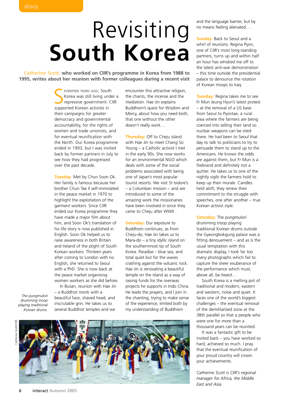## Revisiting **South Korea**

**Catherine Scott, who worked on CIIR's programme in Korea from 1988 to 1995, writes about her reunion with former colleagues during a recent visit**

> EVENTEEN YEARS AGO, Sout<br>Korea was still living un<br>repressive government.<br>supported Korean activists in EVENTEEN YEARS AGO, South Korea was still living under a repressive government. CIIR their campaigns for greater democracy and governmental accountability, for the rights of women and trade unionists, and for eventual reunification with the North. Our Korea programme ended in 1993, but I was invited back by former partners in July to see how they had progressed over the past decade.

> **Tuesday**: Met by Chun Soon Ok. Her family is famous because her brother Chun Tae Il self-immolated in the peace market in 1970 to highlight the exploitation of the garment workers. Since CIIR ended our Korea programme they have made a major film about him, and Soon Ok's translation of his life story is now published in English. Soon Ok helped us to raise awareness in both Britain and Ireland of the plight of South Korean workers. Thirteen years after coming to London with no English, she returned to Seoul with a PhD. She is now back at the peace market organising women workers as she did before.

*The pungmulori drumming troop playing traditional Korean drums.*

In Busan, reunion with Hae Jin – a Buddhist monk with a beautiful face, shaved head, and inscrutable grin. He takes us to several Buddhist temples and we

encounter this attractive religion, the chants, the incense and the mediation. Hae Jin explains Buddhism's quest for Wisdom and Mercy, about how you need both, that one without the other doesn't really work….

**Thursday:** Off to Cheju island with Hae Jin to meet Chang So Young – a Catholic activist I met in the early 90s. She now works for an environmental NGO which deals with some of the social problems associated with being one of Japan's most popular tourist resorts. We visit St Isidore's – a Columban mission – and are introduced to some of the amazing work the missionaries have been involved in since they came to Cheju after WWII .

**Saturday: Our exposure to** Buddhism continues, as from Cheju-do, Hae Jin takes us to Mara-do – a tiny idyllic island on the southernmost tip of South Korea. Paradise – blue sea, and total quiet but for the waves crashing against the volcanic rock. Hae Jin is renovating a beautiful temple on the island as a way of raising funds for the overseas projects he supports in Indo China. He leads the prayers, and I join in the chanting, trying to make sense of the experience, limited both by my understanding of Buddhism

Catherine Scott/CIIR atherine Scott/CIIF



and the language barrier, but by no means feeling alienated….

**Sunday:** Back to Seoul and a whirl of reunions. Regina Pyon, one of CIIR's most long-standing partners, turns up and within half an hour has whisked me off to the latest anti-war demonstration – this time outside the presidential palace to denounce the rotation of Korean troops to Iraq.

**Tuesday:** Regina takes me to see Fr Mun Jeung Hyun's latest protest – at the removal of a US base from Seoul to Pyontae, a rural area where the farmers are being coerced into selling their land so nuclear weapons can be sited there. He had been to Seoul that day to talk to politicians to try to persuade them to stand up to the Americans. He knows the odds are against them, but Fr Mun is a firebrand and definitely not a quitter. He takes us to one of the nightly vigils the farmers hold to keep up their morale. Candles held aloft, they renew their commitment to the struggle with speeches, one after another – true Korean activist style.

**Saturday:** The *pungmulori* drumming troop playing traditional Korean drums outside the Gyeongbokgung palace was a fitting denouement – and as is the usual temptation with this dramatic display, I took far too many photographs which fail to capture the sheer exuberance of the performance which must, above all, be *heard*…

South Korea is a melting pot of traditional and modern, eastern and western, noise and quiet. It faces one of the world's biggest challenges – the eventual removal of the demilitarised zone at the 38th parallel so that a people who were one for more than a thousand years can be reunited.

It was a fantastic gift to be invited back – you have worked so hard, achieved so much. I pray that the eventual reunification of your proud country will crown your achievements.

*Catherine Scott is CIIR's regional manager for Africa, the Middle East and Asia.*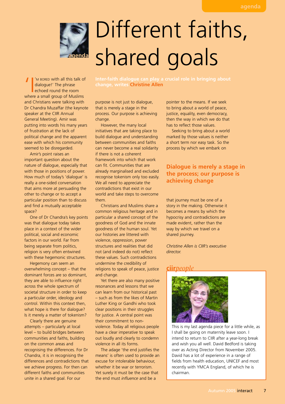

# Different faiths, shared goals

'M BORED with all this talk of dialogue!' The phrase echoed round the room where a small group of Muslims and Christians were talking with Dr Chandra Muzaffar (the keynote speaker at the CIIR Annual General Meeting). Amir was putting into words his many years of frustration at the lack of political change and the apparent ease with which his community seemed to be disregarded.

Amir's point raises an important question about the nature of dialogue, especially that with those in positions of power. How much of today's 'dialogue' is really a one-sided conversation that aims more at persuading the other to change or to accept a particular position than to discuss and find a mutually acceptable space?

One of Dr Chandra's key points was that dialogue today takes place in a context of the wider political, social and economic factors in our world. Far from being separate from politics, religion is very often entwined with these hegemonic structures.

Hegemony can seem an overwhelming concept – that the dominant forces are so dominant, they are able to influence right across the whole spectrum of societal structure in order to keep a particular order, ideology and control. Within this context then, what hope is there for dialogue? Is it merely a matter of tokenism?

Clearly there are genuine attempts – particularly at local level – to build bridges between communities and faiths, building on the common areas and recognising the differences. For Dr Chandra, it is in recognising the differences and contradictions that we achieve progress. For then can different faiths and communities unite in a shared goal. For our

**change, writes Christine Allen**

purpose is not just to dialogue, that is merely a stage in the process. Our purpose is achieving change.

However, the many local initiatives that are taking place to build dialogue and understanding between communities and faiths can never become a real solidarity if there is not a coherent framework into which that work can fit. Communities that are already marginalised and excluded recognise tokenism only too easily. We all need to appreciate the contradictions that exist in our world and take steps to overcome them.

Christians and Muslims share a common religious heritage and in particular a shared concept of the goodness of God and the innate goodness of the human soul. Yet our histories are littered with violence, oppression, power structures and realities that did not (and indeed do not) reflect these values. Such contradictions undermine the credibility of religions to speak of peace, justice and change.

Yet there are also many positive resonances and lessons that we can learn from our historical past – such as from the likes of Martin Luther King or Gandhi who took clear positions in their struggles for justice. A central point was their commitment to nonviolence. Today all religious people have a clear imperative to speak out loudly and clearly to condemn violence in all its forms.

The adage 'the end justifies the means' is often used to provide an excuse for intolerable behaviour, whether it be war or terrorism. Yet surely it must be the case that the end must *influence* and be a

pointer to the means. If we seek to bring about a world of peace, justice, equality, even democracy, then the way in which we do that has to reflect those values.

Seeking to bring about a world marked by those values is neither a short term nor easy task. So the process by which we embark on

#### **Dialogue is merely a stage in the process; our purpose is achieving change**

that journey must be one of a story in the making. Otherwise it becomes a means by which the hypocrisy and contradictions are made evident, rather than the way by which we travel on a shared journey.

*Christine Allen is CIIR's executive director.*

#### **ciir***people*



This is my last agenda piece for a little while, as I shall be going on maternity leave soon. I intend to return to CIIR after a year-long break and wish you all well. David Bedford is taking over as Acting Director from November 2005. David has a lot of experience in a range of fields from health education, UNICEF and most recently with YMCA England, of which he is chairman.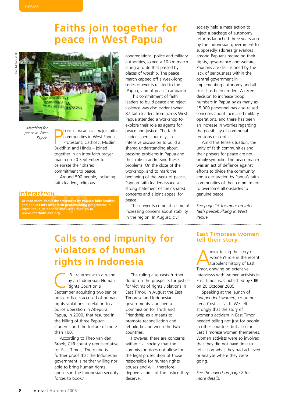### **Faiths join together for peace in West Papua**



*Marching for peace in West Papua.*

**PEOPLE FROM ALL FIVE Major**<br> **Protestant, Catholic, Mundalist and Hindu – joined** EOPLE FROM ALL FIVE major faith communities in West Papua – Protestant, Catholic, Muslim, together in an inter-faith prayer march on 20 September to celebrate their shared commitment to peace. Around 500 people, including faith leaders, religious

#### **interact***now*

**To read more about the statement by Papuan faith leaders, and about CIIR's inter-faith peacebuilding programme in West Papua, Mindanao and East Timor, go to www.interfaith-asia.org**

congregations, police and military authorities, joined a 10-km march along a route that passed by places of worship. The peace march capped off a week-long series of events related to the 'Papua, land of peace' campaign.

This commitment of faith leaders to build peace and reject violence was also evident when 87 faith leaders from across West Papua attended a workshop to explore their role as agents for peace and justice. The faith leaders spent four days in intensive discussion to build a shared understanding about pressing problems in Papua and their role in addressing these problems. On the close of the workshop, and to mark the beginning of the week of peace, Papuan faith leaders issued a strong statement of their shared concerns and a joint appeal for peace.

These events come at a time of increasing concern about stability in the region. In August, civil

### **Calls to end impunity for <b>East Timorese women violators of human rights in Indonesia**

IIR HAS DENOUNCED a ruling<br>by an Indonesian Human<br>Rights Court on 9<br>Sontomber acquitting two sonion by an Indonesian Human Rights Court on 9 September acquitting two senior police officers accused of human rights violations in relation to a police operation in Abepura, Papua, in 2000, that resulted in the killing of three Papuan students and the torture of more than 100.

According to Theo van den Broek, CIIR country representative for East Timor, 'The ruling is further proof that the Indonesian government is neither willing nor able to bring human rights abusers in the Indonesian security forces to book.'

The ruling also casts further doubt on the prospects for justice for victims of rights violations in East Timor. In August the East Timorese and Indonesian governments launched a Commission for Truth and Friendship as a means to promote reconciliation and rebuild ties between the two countries.

However, there are concerns within civil society that the commission does not allow for the legal prosecution of those responsible for human rights abuses and will, therefore, deprive victims of the justice they deserve.

society held a mass action to reject a package of autonomy reforms launched three years ago by the Indonesian government to supposedly address grievances among Papuans regarding their rights, governance and welfare. Papuans are disillusioned by the lack of seriousness within the central government in implementing autonomy and all trust has been eroded. A recent decision to increase troop numbers in Papua by as many as 15,000 personnel has also raised concerns about increased military operations, and there has been an increase in worries regarding the possibility of communal tensions or conflict.

Amid this tense situation, the unity of faith communities and their prayers for peace are not simply symbolic. The peace march was an act of defiance against efforts to divide the community and a declaration by Papua's faith communities of their commitment to overcome all obstacles to genuine peace.

*See page 15 for more on interfaith peacebuilding in West Papua.*

BOOK telling the story of<br>
women's role in the rece<br>
turbulent history of East<br>
Timor drawing on extensive women's role in the recent Timor, drawing on extensive interviews with women activists in East Timor, was published by CIIR on 20 October 2005.

Speaking at the launch of *Independent women*, co-author Irena Cristalis said: 'We felt strongly that the story of women's activism in East Timor needed telling not just for people in other countries but also for East Timorese women themselves. Women activists were so involved that they did not have time to reflect on what they had achieved or analyse where they were going.'

*See the advert on page 2 for more details.*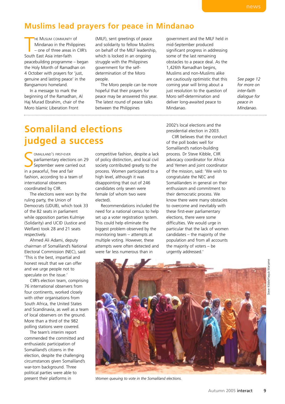### **Muslims lead prayers for peace in Mindanao**

HE MUSLIM COMMUNITY<br>
Mindanao in the Phi<br>
– one of three areas<br>
South East Asia inter-faith HE MUSLIM COMMUNITY Of Mindanao in the Philippines – one of three areas in CIIR's peacebuilding programme – began the Holy Month of Ramadhan on 4 October with prayers for 'just, genuine and lasting peace' in the Bangsamoro homeland.

In a message to mark the beginning of the Ramadhan, Al Haj Murad Ebrahim, chair of the Moro Islamic Liberation Front

(MILF), sent greetings of peace and solidarity to fellow Muslims on behalf of the MILF leadership, which is locked in an ongoing struggle with the Philippines government for the selfdetermination of the Moro people.

The Moro people can be more hopeful that their prayers for peace may be answered this year. The latest round of peace talks between the Philippines

government and the MILF held in mid-September produced significant progress in addressing some of the last remaining obstacles to a peace deal. As the 1,426th Ramadhan begins, Muslims and non-Muslims alike are cautiously optimistic that this coming year will bring about a just resolution to the question of Moro self-determination and deliver long-awaited peace to Mindanao.

*See page 12 for more on inter-faith dialogue for peace in Mindanao.*

### **Somaliland elections judged a success**

**SERGINALLAND'S FIRST-EVER**<br> **September were carri**<br>
in a peaceful, free and fair OMALILAND'S FIRST-EVER parliamentary elections on 29 September were carried out fashion, according to a team of international observers coordinated by CIIR.

The elections were won by the ruling party, the Union of Democrats (UDUB), which took 33 of the 82 seats in parliament while opposition parties Kulmiye (Solidarity) and UCID (Justice and Welfare) took 28 and 21 seats respectively.

Ahmed Ali Adami, deputy chairman of Somaliland's National Electoral Commission (NEC), said: 'This is the best, impartial and honest result that we can offer and we urge people not to speculate on the issue.'

CIIR's election team, comprising 76 international observers from four continents, worked closely with other organisations from South Africa, the United States and Scandinavia, as well as a team of local observers on the ground. More than a third of the 982 polling stations were covered.

The team's interim report commended the committed and enthusiastic participation of Somaliland's citizens in the election, despite the challenging circumstances given Somaliland's war-torn background. Three political parties were able to present their platforms in

competitive fashion, despite a lack of policy distinction, and local civil society contributed greatly to the process. Women participated to a high level, although it was disappointing that out of 246 candidates only seven were female (of whom two were elected).

Recommendations included the need for a national census to help set up a voter registration system. This could help eliminate the biggest problem observed by the monitoring team – attempts at multiple voting. However, these attempts were often detected and were far less numerous than in

2002's local elections and the presidential election in 2003.

CIIR believes that the conduct of the poll bodes well for Somaliland's nation-building process. Dr Steve Kibble, CIIR advocacy coordinator for Africa and Yemen and joint coordinator of the mission, said: 'We wish to congratulate the NEC and Somalilanders in general on their enthusiasm and commitment to their democratic process. We know there were many obstacles to overcome and inevitably with these first-ever parliamentary elections, there were some difficulties. We would urge in particular that the lack of women candidates – the majority of the population and from all accounts the majority of voters – be urgently addressed.'





*Women queuing to vote in the Somaliland elections.*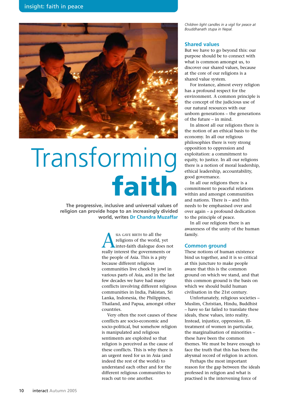

# Transforming **faith**

**The progressive, inclusive and universal values of religion can provide hope to an increasingly divided world, writes Dr Chandra Muzaffar**

> SIA GAVE BIRTH to all the<br>religions of the world,<br>inter-faith dialogue do<br>really interest the governmen religions of the world, yet inter-faith dialogue does not really interest the governments or the people of Asia. This is a pity because different religious communities live cheek by jowl in various parts of Asia, and in the last few decades we have had many conflicts involving different religious communities in India, Pakistan, Sri Lanka, Indonesia, the Philippines, Thailand, and Papua, amongst other countries.

> Very often the root causes of these conflicts are socio-economic and socio-political, but somehow religion is manipulated and religious sentiments are exploited so that religion is perceived as the cause of these conflicts. This is why there is an urgent need for us in Asia (and indeed the rest of the world) to understand each other and for the different religious communities to reach out to one another.

*Children light candles in a vigil for peace at Bouddhanath stupa in Nepal.*

#### **Shared values**

But we have to go beyond this: our purpose should be to connect with what is common amongst us, to discover our shared values, because at the core of our religions is a shared value system.

For instance, almost every religion has a profound respect for the environment. A common principle is the concept of the judicious use of our natural resources with our unborn generations – the generations of the future – in mind.

In almost all our religions there is the notion of an ethical basis to the economy. In all our religious philosophies there is very strong opposition to oppression and exploitation: a commitment to equity, to justice. In all our religions there is a notion of moral leadership, ethical leadership, accountability, good governance.

In all our religions there is a commitment to peaceful relations within and amongst communities and nations. There is – and this needs to be emphasised over and over again – a profound dedication to the principle of peace.

In all our religions there is an awareness of the unity of the human family.

#### **Common ground**

These notions of human existence bind us together, and it is so critical at this juncture to make people aware that this is the common ground on which we stand, and that this common ground is the basis on which we should build human civilisation in the 21st century.

Unfortunately, religious societies – Muslim, Christian, Hindu, Buddhist – have so far failed to translate these ideals, these values, into reality. Instead, injustice, oppression, illtreatment of women in particular, the marginalisation of minorities – these have been the common themes. We must be brave enough to face the truth that this has been the abysmal record of religion in action.

Perhaps the most important reason for the gap between the ideals professed in religion and what is practised is the intervening force of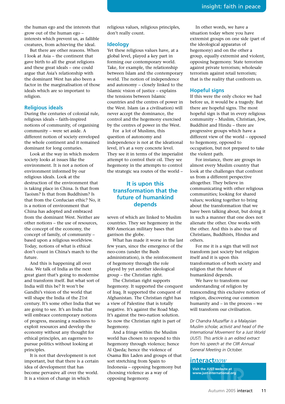the human ego and the interests that grow out of the human ego – interests which prevent us, as fallible creatures, from achieving the ideal.

But there are other reasons. When I look at Asia – the continent that gave birth to all the great religions and these great ideals – one could argue that Asia's relationship with the dominant West has also been a factor in the marginalisation of those ideals which are so important to religion.

#### **Religious ideals**

During the centuries of colonial rule, religious ideals – faith-inspired notions of community, of organising community – were set aside. A different notion of society enveloped the whole continent and it remained dominant for long centuries.

Look at the way in which modern society looks at issues like the environment. It is not a notion of environment informed by our religious ideals. Look at the destruction of the environment that is taking place in China. Is that from Taoism? Is that from Buddhism? Is that from the Confucian ethic? No, it is a notion of environment that China has adopted and embraced from the dominant West. Neither are other notions – the use of resources, the concept of the economy, the concept of family, of community – based upon a religious worldview. Today, notions of what is ethical don't count in China's march to the future.

And this is happening all over Asia. We talk of India as the next great giant that's going to modernise and transform itself. But what sort of India will this be? It won't be Gandhi's vision of the world that will shape the India of the 21st century. It's some other India that we are going to see. It's an India that will embrace contemporary notions of progress, meaning a readiness to exploit resources and develop the economy without any thought for ethical principles, an eagerness to pursue politics without looking at principles.

It is not that development is not important, but that there is a certain idea of development that has become pervasive all over the world. It is a vision of change in which

religious values, religious principles, don't really count.

#### **Ideology**

Yet these religious values have, at a global level, played a key part in forming our contemporary world. Take, for example, the relationship between Islam and the contemporary world. The notion of independence and autonomy – closely linked to the Islamic vision of justice – explains the tensions between Islamic countries and the centres of power in the West. Islam (as a civilisation) will never accept the dominance, the control and the hegemony exercised by the centres of power in the West.

For a lot of Muslims, this question of autonomy and independence is not at the ideational level, it's at a very concrete level. They see it in terms of the imperialist attempt to control their oil. They see hegemony in the attempts to control the strategic sea routes of the world –

#### **It is upon this transformation that the future of humankind depends**

seven of which are linked to Muslim countries. They see hegemony in the 800 American military bases that garrison the globe.

What has made it worse in the last few years, since the emergence of the neo-cons (under the Bush administration), is the reinforcement of hegemony through the role played by yet another ideological group – the Christian right.

The Christian right supports hegemony. It supported the conquest of Iraq. It supported the conquest of Afghanistan. The Christian right has a view of Palestine that is totally negative. It's against the Road Map. It's against the two-nation solution. So now the Christian right is part of hegemony.

And a fringe within the Muslim world has chosen to respond to this hegemony through violence; hence Al Qaeda; hence the violence of Osama Bin Laden and groups of that sort stretching from Spain to Indonesia – opposing hegemony but choosing violence as a way of opposing hegemony.

In other words, we have a situation today where you have extremist groups on one side (part of the ideological apparatus of hegemony) and on the other a group, equally extremist and violent, opposing hegemony. State terrorism against private terrorism; wholesale terrorism against retail terrorism; that is the reality that confronts us.

#### **Hopeful signs**

If this were the only choice we had before us, it would be a tragedy. But there are hopeful signs. The most hopeful sign is that in every religious community – Muslim, Christian, Jew, Buddhist and Hindu – there are progressive groups which have a different view of the world – opposed to hegemony, opposed to occupation, but not prepared to take the violent path.

For instance, there are groups in almost every Muslim country that look at the challenges that confront us from a different perspective altogether. They believe in communicating with other religious communities; looking for shared values; working together to bring about the transformation that we have been talking about, but doing it in such a manner that one does not alienate the other. One works with the other. And this is also true of Christians, Buddhists, Hindus and others.

For me it is a sign that will not transform just society but religion itself and it is upon this transformation of both society and religion that the future of humankind depends.

We have to transform our understanding of religion by transcending this exclusive notion of religion, discovering our common humanity and – in the process – we will transform our civilisation.

*Dr Chandra Muzaffar is a Malaysian Muslim scholar, activist and head of the International Movement for a Just World (JUST). This article is an edited extract from his speech at the CIIR Annual General Meeting in October.*

#### **interact***now*

**Visit the JUST website at www.just-international.org**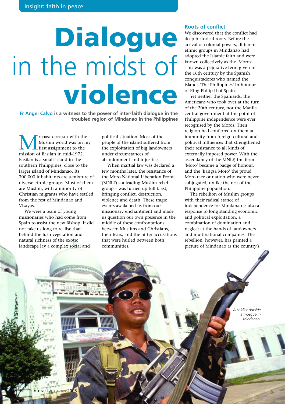# **Dialogue** in the midst of **violence**

**Fr Angel Calvo is a witness to the power of inter-faith dialogue in the troubled region of Mindanao in the Philippines**

**MEXALA FIRST CONTACT with the MUSLIM WORTH WAS ON THE MISSION OF Basilan in mid-1972.** Muslim world was on my first assignment to the Basilan is a small island in the southern Philippines, close to the larger island of Mindanao. Its 300,000 inhabitants are a mixture of diverse ethnic groups. Most of them are Muslim, with a minority of Christian migrants who have settled from the rest of Mindanao and Visayas.

We were a team of young missionaries who had come from Spain to assist the new Bishop. It did not take us long to realise that behind the lush vegetation and natural richness of the exotic landscape lay a complex social and

political situation. Most of the people of the island suffered from the exploitation of big landowners under circumstances of abandonment and injustice.

When martial law was declared a few months later, the resistance of the Moro National Liberation Front (MNLF) – a leading Muslim rebel group – was turned up full blast, bringing conflict, destruction, violence and death. These tragic events awakened us from our missionary enchantment and made us question our own presence in the middle of these confrontations between Muslims and Christians, their fears, and the bitter accusations that were hurled between both communities.

#### **Roots of conflict**

We discovered that the conflict had deep historical roots. Before the arrival of colonial powers, different ethnic groups in Mindanao had adopted the Islamic faith and were known collectively as the 'Moros'. This was a pejorative term given in the 16th century by the Spanish conquistadores who named the islands 'The Philippines' in honour of King Philip II of Spain.

Yet neither the Spaniards, the Americans who took over at the turn of the 20th century, nor the Manila central government at the point of Philippine independence were ever recognised by the Moros. Their religion had conferred on them an immunity from foreign cultural and political influences that strengthened their resistance to all kinds of externally imposed power. With the ascendancy of the MNLF, the term 'Moro' became a badge of honour, and the 'Bangsa Moro' the proud Moro race or nation who were never subjugated, unlike the rest of the Philippine population.

The rebellion of Muslim groups with their radical stance of independence for Mindanao is also a response to long standing economic and political exploitation, a combination of domination and neglect at the hands of landowners and multinational companies. The rebellion, however, has painted a picture of Mindanao as the country's

> soldier outside *a mosque in Mindanao.*

PANOS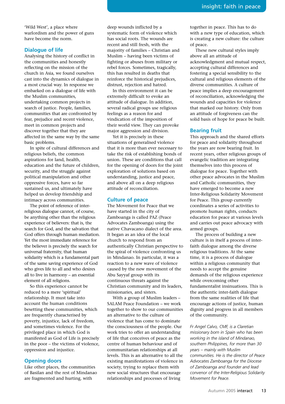'Wild West', a place where warlordism and the power of guns have become the norm.

#### **Dialogue of life**

Analysing the history of conflict in the communities and honestly reflecting on the mission of the church in Asia, we found ourselves cast into the dynamics of dialogue in a most crucial way. In response we embarked on a dialogue of life with the Muslim communities, undertaking common projects in search of justice. People, families, communities that are confronted by fear, prejudice and recent violence, meet in common projects and discover together that they are affected in the same way by the same basic problems.

In spite of cultural differences and religious beliefs, the common aspirations for land, health, education and the future of children, security, and the struggle against political manipulation and other oppressive forces, have so far sustained us, and ultimately have helped us develop friendship and intimacy across communities.

The point of reference of interreligious dialogue cannot, of course, be anything other than the religious experience of believers: that is, the search for God, and the salvation that God offers through human mediation. Yet the most immediate reference for the believer is precisely the search for universal fraternity, that human solidarity which is a fundamental part of the same saving experience of God who gives life to all and who desires all to live in harmony – an essential element of all religions.

So this experience cannot be reduced to a mere 'spiritual' relationship. It must take into account the human conditions besetting these communities, which are frequently characterised by poverty, injustice, lack of freedom, and sometimes violence. For the privileged place in which God is manifested as God of Life is precisely in the poor – the victims of violence, oppression and injustice.

#### **Opening doors**

Like other places, the communities of Basilan and the rest of Mindanao are fragmented and hurting, with

deep wounds inflicted by a systematic form of violence which has social roots. The wounds are recent and still fresh, with the majority of families – Christian and Muslim – having been victims of fighting or abuses from military or rebel forces. Sometimes, tragically, this has resulted in deaths that reinforce the historical prejudices, distrust, rejection and hatred.

In this environment it can be extremely difficult to evoke an attitude of dialogue. In addition, several radical groups use religious feelings as a reason for and vindication of the imposition of their world view. They can provoke major aggression and division.

Yet it is precisely in these situations of generalised violence that it is more than ever necessary to take the risk of establishing bonds of union. These are conditions that call for the opening of doors for the joint exploration of solutions based on understanding, justice and peace, and above all on a deep religious attitude of reconciliation.

#### **Culture of peace**

The Movement for Peace that we have started in the city of Zamboanga is called PAZ (Peace Advocates Zamboanga) using the native Chavacano dialect of the area. It began as an idea of the local church to respond from an authentically Christian perspective to the spiral of violence confronting us in Mindanao. In particular, it was a reaction to a new wave of violence caused by the new movement of the Abu Sayyaf group with its continuous threats against the Christian community and its leaders, missionaries, and sisters.

With a group of Muslim leaders – SALAM Peace Foundation – we work together to show to our communities an alternative to the culture of violence that has come to dominate the consciousness of the people. Our work tries to offer an understanding of life that conceives of peace as the centre of human behaviour and of communitarian relationships at all levels. This is an alternative to all the existing manifestations of violence in society, trying to replace them with new social structures that encourage relationships and processes of living

together in peace. This has to do with a new type of education, which is creating a new culture: the culture of peace.

These new cultural styles imply above all an attitude of acknowledgment and mutual respect, accepting cultural differences and fostering a special sensibility to the cultural and religious elements of the diverse communities. A culture of peace implies a deep encouragement of reconciliation, acknowledging the wounds and capacities for violence that marked our history. Only from an attitude of forgiveness can the solid basis of hope for peace be built.

#### **Bearing fruit**

This approach and the shared efforts for peace and solidarity throughout the years are now bearing fruit. In recent years, other religious groups of evangelic tradition are integrating themselves into this process of dialogue for peace. Together with other peace advocates in the Muslim and Catholic communities, they have emerged to become a new Inter-Religious Solidarity Movement for Peace. This group currently coordinates a series of activities to promote human rights, conducts education for peace at various levels and carries out peace advocacy with armed groups.

The process of building a new culture is in itself a process of interfaith dialogue among the diverse religious traditions. At the same time, it is a process of dialogue within a religious community that needs to accept the genuine demands of the religious experience while overcoming other fundamentalist insinuations. This is the authentic inter-faith dialogue from the same realities of life that encourage actions of justice, human dignity and progress in all members of the community.

*Fr Angel Calvo, CMF, is a Claretian missionary born in Spain who has been working in the island of Mindanao, southern Philippines, for more than 30 years – mainly with Muslim communities. He is the director of Peace Advocates Zamboanga for the Diocese of Zamboanga and founder and lead convenor of the Inter-Religious Solidarity Movement for Peace.*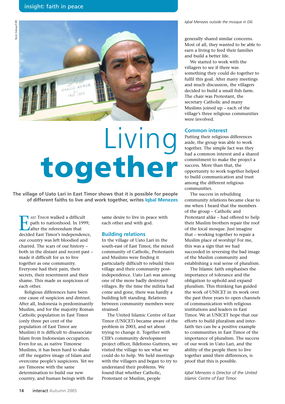

# Living **together**

**The village of Uato Lari in East Timor shows that it is possible for people of different faiths to live and work together, writes Iqbal Menezes**

EXT TIMOR walked a difficult<br>
path to nationhood. In 1994<br>
after the referendum that<br>
decided East Timor's independent path to nationhood. In 1999, after the referendum that decided East Timor's independence, our country was left bloodied and charred. The scars of our history – both in the distant and recent past – made it difficult for us to live together as one community. Everyone had their pain, their secrets, their resentment and their shame. This made us suspicious of each other.

Religious differences have been one cause of suspicion and distrust. After all, Indonesia is predominantly Muslim, and for the majority Roman Catholic population in East Timor (only three per cent of the population of East Timor are Muslim) it is difficult to disassociate Islam from Indonesian occupation. Even for us, as native Timorese Muslims, it has been hard to shake off the negative image of Islam and overcome people's suspicions. Yet we are Timorese with the same determination to build our new country, and human beings with the

same desire to live in peace with each other and with god.

#### **Building relations**

In the village of Uato Lari in the south-east of East Timor, the mixed community of Catholic, Protestants and Muslims were finding it particularly difficult to rebuild their village and their community postindependence. Uato Lari was among one of the more badly destroyed villages. By the time the militia had come and gone, there was hardly a building left standing. Relations between community members were strained.

The United Islamic Centre of East Timor (UNICET) became aware of the problem in 2003, and set about trying to change it. Together with CIIR's community development project officer, Ildefonso Gutteres, we visited the village to see what we could do to help. We held meetings with the villagers and began to try to understand their problems. We found that whether Catholic, Protestant or Muslim, people

*Iqbal Menezes outside the mosque in Dili.*

generally shared similar concerns. Most of all, they wanted to be able to earn a living to feed their families and build a better life.

We started to work with the villagers to see if there was something they could do together to fulfil this goal. After many meetings and much discussion, the villagers decided to build a small fish farm. The chair was Protestant, the secretary Catholic and many Muslims joined up – each of the village's three religious communities were involved.

#### **Common interest**

Putting their religious differences aside, the group was able to work together. The simple fact was they had a common interest and a shared commitment to make the project a success. More than that, the opportunity to work together helped to build communication and trust among the different religious communities.

The success in rebuilding community relations became clear to me when I heard that the members of the group – Catholic and Protestant alike – had offered to help their Muslim brothers repair the roof of the local mosque. Just imagine that – working together to repair a Muslim place of worship! For me, this was a sign that we had succeeded in reversing the bad image of the Muslim community and establishing a real sense of pluralism.

The Islamic faith emphasises the importance of tolerance and the obligation to uphold and expand pluralism. This thinking has guided the work of UNICET in its work over the past three years to open channels of communication with religious institutions and leaders in East Timor. We at UNICET hope that our efforts to build pluralism and interfaith ties can be a positive example to communities in East Timor of the importance of pluralism. The success of our work in Uato Lari, and the ability of the people there to live together amid their differences, is proof that this is possible.

*Iqbal Menezes is Director of the United Islamic Centre of East Timor.*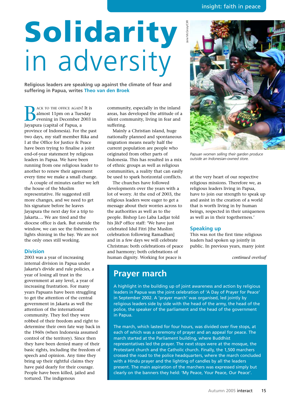# **Solidarity**  in adversity

**Religious leaders are speaking up against the climate of fear and suffering in Papua, writes Theo van den Broek**

BACK TO THE OFFICE AGAIN! It is<br>almost 11pm on a Tuesday<br>evening in December 2003<br>Javanura (canital of Panua a almost 11pm on a Tuesday evening in December 2003 in Jayapura (capital of Papua, a province of Indonesia). For the past two days, my staff member Rika and I at the Office for Justice & Peace have been trying to finalise a joint end-of-year statement by religious leaders in Papua. We have been running from one religious leader to another to renew their agreement every time we make a small change.

A couple of minutes earlier we left the house of the Muslim representative. He suggested still more changes, and we need to get his signature before he leaves Jayapura the next day for a trip to Jakarta.... We are tired and the diocese office is dark. But outside the window, we can see the fishermen's lights shining in the bay. We are not the only ones still working.

#### **Division**

2003 was a year of increasing internal division in Papua under Jakarta's divide and rule policies, a year of losing all trust in the government at any level, a year of increasing frustration. For many years Papuans have been struggling to get the attention of the central government in Jakarta as well the attention of the international community. They feel they were robbed of their freedom and right to determine their own fate way back in the 1960s (when Indonesia assumed control of the territory). Since then they have been denied many of their basic rights, including the freedom of speech and opinion. Any time they bring up their rightful claims they have paid dearly for their courage. People have been killed, jailed and tortured. The indigenous

community, especially in the inland areas, has developed the attitude of a silent community, living in fear and suffering.

Mainly a Christian island, huge nationally planned and spontaneous migration means nearly half the current population are people who originated from other parts of Indonesia. This has resulted in a mix of ethnic groups as well as religious communities, a reality that can easily be used to spark horizontal conflicts.

The churches have followed developments over the years with a lot of worry. At the end of 2003, the religious leaders were eager to get a message about their worries across to the authorities as well as to the people. Bishop Leo Laba Ladjar told his J&P office staff: 'We have just celebrated Idul Fitri [the Muslim celebration following Ramadhan] and in a few days we will celebrate Christmas: both celebrations of peace and harmony; both celebrations of human dignity. Working for peace is



*Papuan women selling their garden produce outside an Indonesian-owned store.*

at the very heart of our respective religious missions. Therefore we, as religious leaders living in Papua, have to join our strength to speak up and assist in the creation of a world that is worth living in by human beings, respected in their uniqueness as well as in their togetherness.'

#### **Speaking up**

This was not the first time religious leaders had spoken up jointly in public. In previous years, many joint

*continued overleaf*

### **Prayer march**

A highlight in the building up of joint awareness and action by religious leaders in Papua was the joint celebration of 'A Day of Prayer for Peace' in September 2002. A 'prayer march' was organised, led jointly by religious leaders side by side with the head of the army, the head of the police, the speaker of the parliament and the head of the government in Papua.

The march, which lasted for four hours, was divided over five stops, at each of which was a ceremony of prayer and an appeal for peace. The march started at the Parliament building, where Buddhist representatives led the prayer. The next stops were at the mosque, the Protestant church and the Catholic church. Finally, the 1,500 marchers crossed the road to the police headquarters, where the march concluded with a Hindu prayer and the lighting of candles by all the leaders present. The main aspiration of the marchers was expressed simply but clearly on the banners they held: 'My Peace, Your Peace, Our Peace'.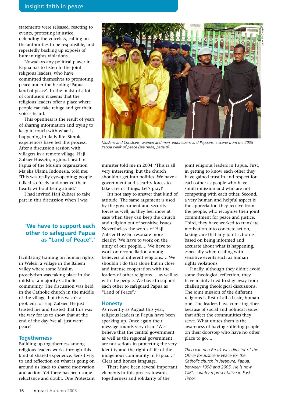statements were released, reacting to events, protesting injustice, defending the voiceless, calling on the authorities to be responsible, and repeatedly backing up exposés of human rights violations.

Nowadays any political player in Papua has to listen to the joint religious leaders, who have committed themselves to promoting peace under the heading 'Papua, land of peace'. In the midst of a lot of confusion it seems that the religious leaders offer a place where people can take refuge and get their voices heard.

This openness is the result of years of sharing information and trying to keep in touch with what is happening in daily life. Simple experiences have fed this process. After a discussion session with villagers in a remote village, Haji Zubaer Hussein, regional head in Papua of the Muslim organisation Majelis Ulama Indonesia, told me: 'This was really eye-opening; people talked so freely and opened their hearts without being afraid.'

I had invited Haji Zubaer to take part in this discussion when I was

#### **'We have to support each other to safeguard Papua as "Land of Peace".'**

facilitating training on human rights in Welesi, a village in the Baliem valley where some Muslim proselytism was taking place in the midst of a majority Catholic community. The discussion was held in the Catholic church in the middle of the village, but this wasn't a problem for Haji Zubaer. He just trusted me and trusted that this was the way for us to show that at the end of the day 'we all just want peace!'

#### **Togetherness**

Building up togetherness among religious leaders works through this kind of shared experience. Sensitivity to and reflection on what is going on around us leads to shared motivation and action. Yet there has been some reluctance and doubt. One Protestant



*Muslims and Christians, women and men, Indonesians and Papuans: a scene from the 2005 Papua week of peace (see news, page 8).*

minister told me in 2004: 'This is all very interesting, but the church shouldn't get into politics. We have a government and security forces to take care of things. Let's pray!'

It's not easy to answer that kind of attitude. The same argument is used by the government and security forces as well, as they feel more at ease when they can keep the church and religion out of sensitive issues. Nevertheless the words of Haji Zubaer Hussein resonate more clearly: 'We have to work on the unity of our people…. We have to work on reconciliation among believers of different religions…. We shouldn't do that alone but in close and intense cooperation with the leaders of other religions … as well as with the people. We have to support each other to safeguard Papua as "Land of Peace".'

#### **Honesty**

As recently as August this year, religious leaders in Papua have been speaking up. Once again their message sounds very clear: 'We believe that the central government as well as the regional government are not serious in protecting the very identity and the right of life of the indigenous community in Papua.…' Clear and honest language.

There have been several important elements in this process towards togetherness and solidarity of the

joint religious leaders in Papua. First, in getting to know each other they have gained trust in and respect for each other as people who have a similar mission and who are not competing with each other. Second, a very human and helpful aspect is the appreciation they receive from the people, who recognise their joint commitment for peace and justice. Third, they have worked to translate motivation into concrete action, taking care that any joint action is based on being informed and accurate about what is happening, especially when dealing with sensitive events such as human rights violations.

Finally, although they didn't avoid some theological reflection, they have mainly tried to stay away from challenging theological discussions. The joint mission of the different religions is first of all a basic, human one. The leaders have come together because of social and political issues that affect the communities they serve. What unites them is the awareness of having suffering people on their doorstep who have no other place to go….

*Theo van den Broek was director of the Office for Justice & Peace for the Catholic church in Jayapura, Papua, between 1998 and 2005. He is now CIIR's country representative in East Timor.*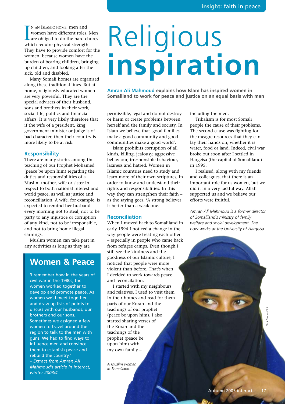IN AN ISLAMIC HOME, men and<br>women have different roles. I<br>are obliged to do the hard ch<br>which require physical strength. N AN ISLAMIC HOME, men and women have different roles. Men Lare obliged to do the hard chores They have to provide comfort for the women, because women have the burden of bearing children, bringing up children, and looking after the sick, old and disabled.

Many Somali homes are organised along these traditional lines. But at home, religiously educated women are very powerful. They are the special advisers of their husband, sons and brothers in their work, social life, politics and financial affairs. It is very likely therefore that if the wife of a president, king, government minister or judge is of bad character, then their country is more likely to be at risk.

#### **Responsibility**

There are many stories among the teaching of our Prophet Mohamed (peace be upon him) regarding the duties and responsibilities of a Muslim mother, wife or sister in respect to both national interest and world peace, as well as justice and reconciliation. A wife, for example, is expected to remind her husband every morning not to steal, not to be party to any injustice or corruption of any kind, not to be irresponsible, and not to bring home illegal earnings.

Muslim women can take part in any activities as long as they are

### **Women & Peace**

'I remember how in the years of civil war in the 1980s, the women worked together to develop and promote peace. As women we'd meet together and draw up lists of points to discuss with our husbands, our brothers and our sons. Sometimes we assigned a few women to travel around the region to talk to the men with guns. We had to find ways to influence men and convince them to establish peace and rebuild the country.'

*– Extract from Amran Ali Mahmoud's article in Interact, winter 2003/4.*

# Religious **inspiration**

**Amran Ali Mahmoud explains how Islam has inspired women in Somaliland to work for peace and justice on an equal basis with men**

permissible, legal and do not destroy or harm or create problems between herself and the family and society. In Islam we believe that 'good families make a good community and good communities make a good world'.

Islam prohibits corruption of all kinds, killing, jealousy, aggressive behaviour, irresponsible behaviour, laziness and hatred. Women in Islamic countries need to study and learn more of their own scriptures, in order to know and understand their rights and responsibilities. In this way they can strengthen their faith – as the saying goes, 'A strong believer is better than a weak one.'

#### **Reconciliation**

When I moved back to Somaliland in early 1994 I noticed a change in the way people were treating each other – especially in people who came back from refugee camps. Even though I still see the kindness and the goodness of our Islamic culture, I noticed that people were more violent than before. That's when I decided to work towards peace and reconcilation.

I started with my neighbours and relatives. I used to visit them in their homes and read for them parts of our Koran and the teachings of our prophet (peace be upon him). I also started sharing verses of the Koran and the teachings of the prophet (peace be upon him) with my own family –

*A Muslim woman in Somaliland.*

including the men.

Tribalism is for most Somali people the cause of their problems. The second cause was fighting for the meagre resources that they can lay their hands on, whether it is water, food or land. Indeed, civil war broke out soon after I settled in Hargeisa (the capital of Somaliland) in 1995.

I realised, along with my friends and colleagues, that there is an important role for us women, but we did it in a very tactful way. Allah supported us and we believe our efforts were fruitful.

*Amran Ali Mahmoud is a former director of Somaliland's ministry of family welfare and social development. She now works at the University of Hargeisa.*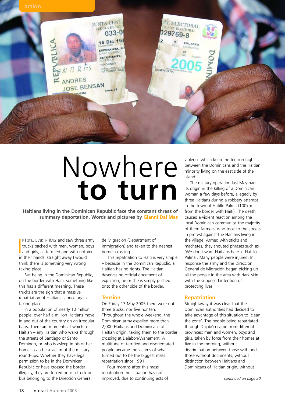

## Nowhere **to turn**

**Haitians living in the Dominican Republic face the constant threat of summary deportation. Words and pictures by Gianni Dal Mas**

F I STILL LIVED IN ITALY and saw three army trucks packed with men, women, boys<br>and girls, all terrified and with nothing<br>in their bands, straight away Lwould **F I STILL LIVED IN ITALY and saw three army** trucks packed with men, women, boys in their hands, straight away I would think there is something very wrong taking place.

But being in the Dominican Republic, on the border with Haiti, something like this has a different meaning. These trucks are the sign that a massive repatriation of Haitians is once again taking place.

In a population of nearly 10 million people, over half a million Haitians move in and out of the country on an irregular basis. There are moments at which a Haitian – any Haitian who walks through the streets of Santiago or Santo Domingo, or who is asleep in his or her home – can be a victim of the military round-ups. Whether they have legal permission to be in the Dominican Republic or have crossed the border illegally, they are forced onto a truck or bus belonging to the Dirección General

de Migración (Department of Immigration) and taken to the nearest border crossing.

This repatriation to Haiti is very simple – because in the Dominican Republic, a Haitian has no rights. The Haitian deserves no official document of expulsion; he or she is simply pushed onto the other side of the border.

#### **Tension**

On Friday 13 May 2005 there were not three trucks, nor five nor ten. Throughout the whole weekend, the Dominican army expelled more than 2,000 Haitians and Dominicans of Haitian origin, taking them to the border crossing at Dajabón/Wanament. A multitude of terrified and disorientated people became the victims of what turned out to be the biggest mass repatriation since 1991.

Four months after this mass repatriation the situation has not improved, due to continuing acts of violence which keep the tension high between the Dominicans and the Haitian minority living on the east side of the island.

The military operation last May had its origin in the killing of a Dominican woman a few days before, allegedly by three Haitians during a robbery attempt in the town of Hatillo Palma (100km from the border with Haiti). The death caused a violent reaction among the local Dominican community, the majority of them farmers, who took to the streets in protest against the Haitians living in the village. Armed with sticks and machetes, they shouted phrases such as 'We don't want Haitians here in Hatillo Palma'. Many people were injured. In response the army and the Dirección General de Migración began picking up all the people in the area with dark skin, with the supposed intention of protecting lives.

#### **Repatriation**

Straightaway it was clear that the Dominican authorities had decided to take advantage of this situation to 'clean the zone'. The people being repatriated through Dajabón came from different provinces: men and women, boys and girls, taken by force from their homes at five in the morning, without discrimination between those with and those without documents, without distinction between Haitians and Dominicans of Haitian origin, without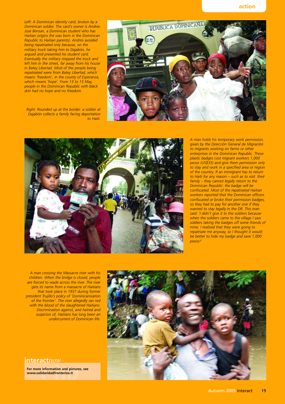*Left: A Dominican identity card, broken by a Dominican soldier. The card's owner is Andres José Bensan, a Dominican student who has Haitian origins (he was born in the Dominican Republic to Haitian parents). Andres avoided being repatriated only because, on the military truck taking him to Dajabón, he argued and presented his student card. Eventually the military stopped the truck and left him in the street, far away from his house in Batey Libertad. Most of the people being repatriated were from Batey Libertad, which means 'freedom', in the county of Esperanza, which means 'hope'. From 13 to 15 May, people in the Dominican Republic with black skin had no hope and no freedom.* 

*Right: Rounded up at the border: a soldier at Dajabón collects a family facing deportation to Haiti.*





*A man holds his temporary work permission, given by the Dirección General de Migración to migrants working on farms or other enterprises in the Dominican Republic. These plastic badges cost migrant workers 1,000 pesos (US\$35) and give them permission only to stay and work in a specified area or region of the country. If an immigrant has to return to Haiti for any reason – such as to visit their family – they cannot legally return to the Dominican Republic: the badge will be confiscated. Most of the repatriated Haitian workers reported that the Dominican officers confiscated or broke their permission badges, so they had to pay for another one if they wanted to stay legally in the DR. This man said: 'I didn't give it to the soldiers because when the soldiers came to the village I saw soldiers taking the badges off some friends of mine. I realised that they were going to repatriate me anyway, so I thought it would be better to hide my badge and save 1,000 pesos!'* 

*A man crossing the Massacre river with his children. When the bridge is closed, people are forced to wade across the river. The river gets its name from a massacre of Haitians that took place in 1937 during former president Trujillo's policy of 'Dominicanisation of the frontier'. The river allegedly ran red with the blood of the slaughtered Haitians. Discrimination against, and hatred and suspicion of, Haitians has long been an undercurrent of Dominican life.*

#### **interact***now*

**For more information and pictures, see www.solidaridadfronteriza.it**

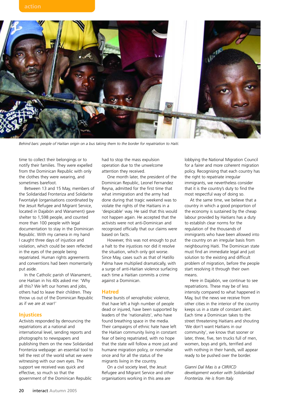

*Behind bars: people of Haitian origin on a bus taking them to the border for repatriation to Haiti.*

time to collect their belongings or to notify their families. They were expelled from the Dominican Republic with only the clothes they were wearing, and sometimes barefoot.

Between 13 and 15 May, members of the Solidaridad Fronteriza and Solidarite Fwontalyè (organisations coordinated by the Jesuit Refugee and Migrant Service, located in Dajabón and Wanament) gave shelter to 1,598 people, and counted more than 100 people with legal documentation to stay in the Dominican Republic. With my camera in my hand I caught three days of injustice and violation, which could be seen reflected in the eyes of the people being repatriated. Human rights agreements and conventions had been momentarily put aside.

In the Catholic parish of Wanament, one Haitian in his 40s asked me: 'Why all this? We left our homes and jobs, others had to leave their children. They throw us out of the Dominican Republic as if we are at war!'

#### **Injustices**

Activists responded by denouncing the repatriations at a national and international level, sending reports and photographs to newspapers and publishing them on the new Solidaridad Fronteriza webpage: an essential tool to tell the rest of the world what we were witnessing with our own eyes. The support we received was quick and effective, so much so that the government of the Dominican Republic

had to stop the mass expulsion operation due to the unwelcome attention they received.

One month later, the president of the Dominican Republic, Leonel Fernandez Reyna, admitted for the first time that what immigration and the army had done during that tragic weekend was to violate the rights of the Haitians in a 'despicable' way. He said that this would not happen again. He accepted that the activists were not anti-Dominican and recognised officially that our claims were based on facts.

However, this was not enough to put a halt to the injustices nor did it resolve the situation, which only got worse. Since May, cases such as that of Hatillo Palma have multiplied dramatically, with a surge of anti-Haitian violence surfacing each time a Haitian commits a crime against a Dominican.

#### **Hatred**

These bursts of xenophobic violence, that have left a high number of people dead or injured, have been supported by leaders of the 'nationalists', who have found breathing space in the media. Their campaigns of ethnic hate have left the Haitian community living in constant fear of being repatriated, with no hope that the state will follow a more just and humane migration policy, or normalise once and for all the status of the migrants living in the country.

On a civil society level, the Jesuit Refugee and Migrant Service and other organisations working in this area are

lobbying the National Migration Council for a fairer and more coherent migration policy. Recognising that each country has the right to repatriate irregular immigrants, we nevertheless consider that it is the country's duty to find the most respectful way of doing so.

At the same time, we believe that a country in which a good proportion of the economy is sustained by the cheap labour provided by Haitians has a duty to establish clear norms for the regulation of the thousands of immigrants who have been allowed into the country on an irregular basis from neighbouring Haiti. The Dominican state must find an immediate legal and just solution to the existing and difficult problem of migration, before the people start resolving it through their own means.

Here in Dajabón, we continue to see repatriations. These may be of less intensity compared to what happened in May, but the news we receive from other cities in the interior of the country keeps us in a state of constant alert. Each time a Dominican takes to the street threatening Haitians and shouting 'We don't want Haitians in our community', we know that sooner or later, three, five, ten trucks full of men, women, boys and girls, terrified and with nothing in their hands, will appear ready to be pushed over the border.

*Gianni Dal Mas is a CIIR/ICD development worker with Solidaridad Fronteriza. He is from Italy.*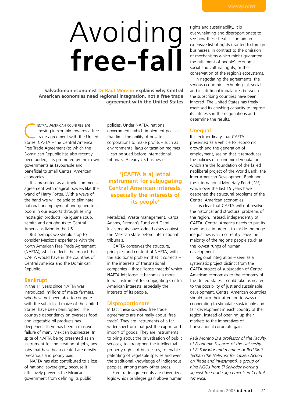# Avoiding **free-fall**

**Salvadorean economist Dr Raúl Moreno explains why Central American economies need regional integration, not a free trade agreement with the United States**

ENTRAL AMERICAN COUNTRIES are<br>
moving inexorably towards a free<br>
trade agreement with the United<br>
States CAETA – the Contral America moving inexorably towards a free States. CAFTA – the Central America Free Trade Agreement (to which the Dominican Republic has also recently been added) – is promoted by their own governments as favourable and beneficial to small Central American economies.

It is presented as a simple commercial agreement with magical powers like the wand of Harry Potter. With a wave of the hand we will be able to eliminate national unemployment and generate a boom in our exports through selling 'nostalgic' products like iguana soup, zemita and doughnuts to Central Americans living in the US.

But perhaps we should stop to consider Mexico's experience with the North American Free Trade Agreement (NAFTA), which reflects the impact that CAFTA would have in the countries of Central America and the Dominican Republic.

#### **Bankrupt**

In the 11 years since NAFTA was introduced, millions of maize farmers, who have not been able to compete with the subsidised maize of the United States, have been bankrupted. The country's dependency on overseas food and vegetable oil products has deepened. There has been a massive failure of many Mexican businesses. In spite of NAFTA being presented as an instrument for the creation of jobs, any jobs that have been created are mostly precarious and poorly paid.

NAFTA has also contributed to a loss of national sovereignty, because it effectively prevents the Mexican government from defining its public

policies. Under NAFTA, national governments which implement policies that limit the ability of private corporations to make profits – such as environmental laws or taxation regimes – can be sued before international tribunals. Already US businesses

#### **'[CAFTA is a] lethal instrument for subjugating Central American interests, especially the interests of its people'**

Metalclad, Waste Management, Karpa, Adams, Fireman's Fund and Gami Investments have lodged cases against the Mexican state before international tribunals.

CAFTA conserves the structure, principles and content of NAFTA, with the additional problem that it corrects – in the interests of transnational companies – those 'loose threads' which NAFTA left loose. It becomes a more lethal instrument for subjugating Central American interests, especially the interests of its people.

#### **Disproportionate**

In fact these so-called free trade agreements are not really about 'free trade'. They are instruments of a far wider spectrum that just the export and import of goods. They are instruments to bring about the privatisation of public services, to strengthen the intellectual property rights of businesses, to enable patenting of vegetable species and even the traditional knowledge of indigenous peoples, among many other areas.

Free trade agreements are driven by a logic which privileges gain above human

rights and sustainability. It is overwhelming and disproportionate to see how these treaties contain an extensive list of rights granted to foreign businesses, in contrast to the omission of mechanisms which might guarantee the fulfilment of people's economic, social and cultural rights, or the conservation of the region's ecosystems.

In negotiating the agreements, the serious economic, technological, social and institutional imbalances between the subscribing countries have been ignored. The United States has freely exercised its crushing capacity to impose its interests in the negotiations and determine the results.

#### **Unequal**

It is extraordinary that CAFTA is presented as a vehicle for economic growth and the generation of employment, seeing that it reproduces the policies of economic deregulation which are the foundation of the failed neoliberal project of the World Bank, the Inter-American Development Bank and the International Monetary Fund (IMF), which over the last 15 years have deepened the structural problems of the Central American economies.

It is clear that CAFTA will not resolve the historical and structural problems of the region. Instead, independently of CAFTA, Central America needs to put its own house in order – to tackle the huge inequalities which currently leave the majority of the region's people stuck at the lowest rungs of human development.

Regional integration – seen as a systematic project distinct from the CAFTA project of subjugation of Central American economies to the economy of the United States – could take us nearer to the possibility of just and sustainable development. Central American countries should turn their attention to ways of cooperating to stimulate sustainable and fair development in each country of the region, instead of opening up their markets to the imperatives of transnational corporate gain.

*Raúl Moreno is a professor of the Faculty of Economic Sciences of the University of El Salvador and member of Red Sinti Techan (the Network for Citizen Action on Trade and Investment), a group of nine NGOs from El Salvador working against free trade agreements in Central America.*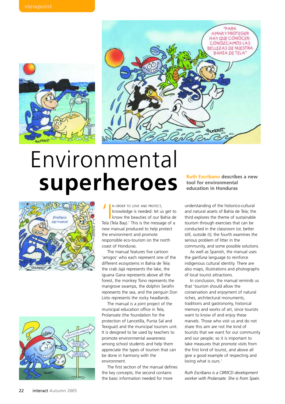



## Environmental **superheroes a new**<br> **superheroes Ruth Escribano** describes a new



IN ORDER TO LOVE AND PROTECT,<br>
knowledge is needed: let us get to<br>
know the beauties of our Bahía de<br>
Tola (Tola Bay) ' This is the mossage of a knowledge is needed: let us get to Tela (Tela Bay).' This is the message of a new manual produced to help protect the environment and promote responsible eco-tourism on the north coast of Honduras.

The manual features five cartoon 'amigos' who each represent one of the different ecosystems in Bahía de Tela: the crab Jajá represents the lake, the iguana Gana represents above all the forest, the monkey Tono represents the mangrove swamps, the dolphin Serafin represents the sea, and the penguin Don Listo represents the rocky headlands.

The manual is a joint project of the municipal education office in Tela, Prolansate (the foundation for the protection of Lancetilla, Punta Sal and Texiguat) and the municipal tourism unit. It is designed to be used by teachers to promote environmental awareness among school students and help them appreciate the types of tourism that can be done in harmony with the environment.

The first section of the manual defines the key concepts; the second contains the basic information needed for more

**tool for environmental education in Honduras**

understanding of the historico-cultural and natural assets of Bahía de Tela; the third explores the theme of sustainable tourism through exercises that can be conducted in the classroom (or, better still, outside it); the fourth examines the serious problem of litter in the community, and some possible solutions.

As well as Spanish, the manual uses the *garifuna* language to reinforce indigenous cultural identity. There are also maps, illustrations and photographs of local tourist attractions.

In conclusion, the manual reminds us that 'tourism should allow the conservation and enjoyment of natural riches, architectural monuments, traditions and gastronomy, historical memory and works of art, since tourists want to know of and enjoy these marvels. Those who visit us and do not share this aim are not the kind of tourists that we want for our community and our people; so it is important to take measures that promote visits from the first kind of tourist, and above all give a good example of respecting and loving what is ours.'

*Ruth Escribano is a CIIR/ICD development worker with Prolansate. She is from Spain.*

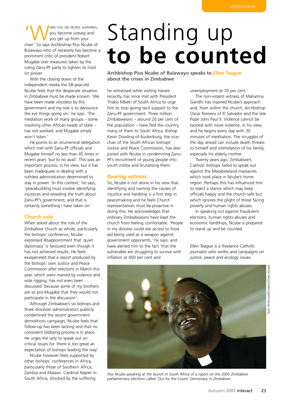IM YOU SEE PEOPLE SUFFERING,<br>
you become uneasy and<br>
chair.' So says Archbishop Pius Ncube of you become uneasy and you get up from your Bulawayo who of necessity has become a prominent critic of president Robert Mugabe over measures taken by the ruling Zanu-PF party to tighten its hold on power.

With the closing down of the independent media the 58-year-old Ncube feels that the desperate situation in Zimbabwe must be made known. 'We have been made voiceless by this government and my role is to denounce the evil things going on,' he says. 'The mediation work of many groups – some involving other African heads of state – has not worked, and Mugabe simply won't listen.'

He points to an ecumenical delegation which met with Zanu-PF officials and Mugabe himself no less than 45 times in recent years 'but to no avail'. This was an important process, in his view, but it has been inadequate in dealing with a ruthless administration determined to stay in power. 'In this context,' he says, 'peacebuilding must involve identifying injustices and revealing the truth about Zanu-PF's government, and that is certainly something I have taken on.'

#### **Church role**

When asked about the role of the Zimbabwe church as whole, particularly the bishops' conference, Ncube expressed disappointment that 'quiet diplomacy' is favoured even though it has not achieved results. He feels exasperated that a report produced by the bishops' own Justice and Peace Commission after elections in March this year, which were marred by violence and vote rigging, has not even been discussed 'because some of my brothers are so pro-Mugabe that they would not participate in the discussion'.

Although Zimbabwe's six bishops and three diocesan administrators publicly condemned the recent government demolitions campaign, Ncube feels that follow-up has been lacking and that no consistent lobbying process is in place. He urges the laity to speak out on critical issues for 'there is too great an expectation of bishops leading the way'.

Ncube however feels supported by other bishops' conferences in Africa, particularly those of Southern Africa, Zambia and Malawi. Cardinal Napier in South Africa, shocked by the suffering

## Standing up **to be counted**

**Archbishop Pius Ncube of Bulawayo speaks to Ellen Teague about the crises in Zimbabwe**

he witnessed while visiting Harare recently, has since met with President Thabo Mbeki of South Africa to urge him to stop giving tacit support to the Zanu-PF government. Three million Zimbabweans – around 20 per cent of the population – have fled the country, many of them to South Africa. Bishop Kevin Dowling of Rustenburg, the vicechair of the South African bishops' Justice and Peace Commission, has also joined with Ncube in condemning Zanu-PF's recruitment of young people into youth militia and brutalising them.

#### **Bearing witness**

So, Ncube is not alone in his view that identifying and naming the causes of injustice and hardship is a first step in peacemaking and he feels Church representatives must be proactive in doing this. He acknowledges that ordinary Zimbabweans have kept the church from feeling comfortable. 'People in my diocese could see access to food aid being used as a weapon against government opponents,' he says, and have alerted him to the fact 'that the vulnerable are struggling to survive with inflation at 400 per cent and

unemployment at 70 per cent.'

The non-violent witness of Mahatma Gandhi has inspired Ncube's approach and, from within the church, Archbishop Oscar Romero of El Salvador and the late Pope John Paul II. Violence cannot be tackled with more violence, in his view, and he begins every day with 30 minutes of meditation. The struggles of the day ahead can include death threats to himself and intimidation of his family, especially his elderly mother.

Twenty years ago, Zimbabwe's Catholic bishops failed to speak out against the Matabeleland massacres which took place in Ncube's home region. Perhaps this has influenced him to reject a stance which may keep officials happy and the church safe but which ignores the plight of those facing poverty and human rights abuses.

In speaking out against fraudulent elections, human rights abuses and economic hardships, Ncube is prepared to stand up and be counted.

*Ellen Teague is a freelance Catholic journalist who writes and campaigns on justice, peace and ecology issues.*



*Pius Ncube speaking at the launch in South Africa of a report on the 2005 Zimbabwe parliamentary elections called 'Out for the Count: Democracy in Zimbabwe'.*